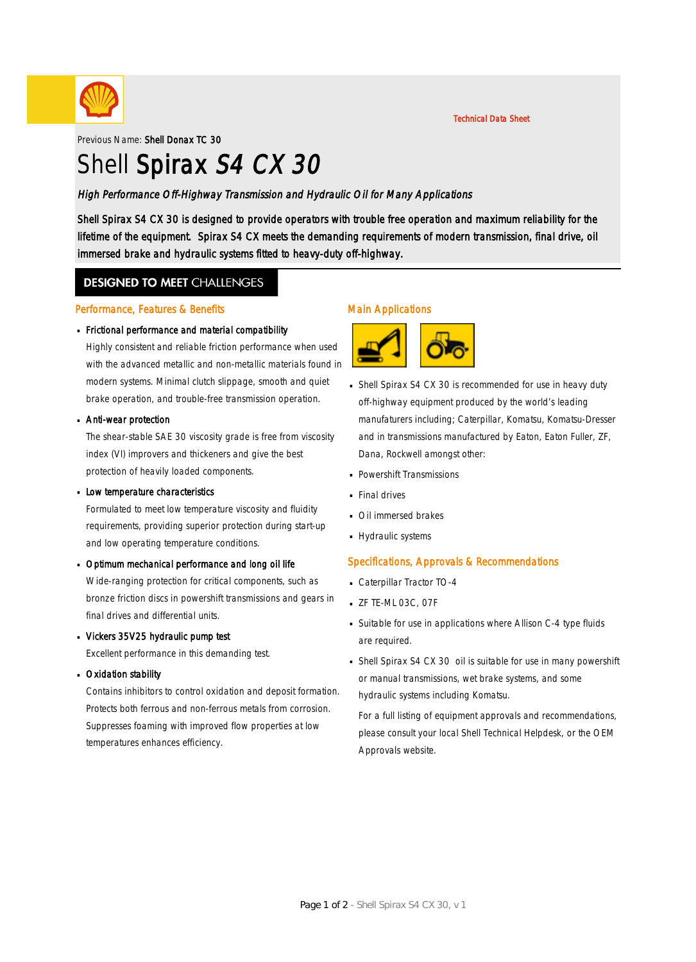

Previous Name: Shell Donax TC 30

# Shell Spirax S4 CX 30

#### High Performance Off-Highway Transmission and Hydraulic Oil for Many Applications

Shell Spirax S4 CX 30 is designed to provide operators with trouble free operation and maximum reliability for the lifetime of the equipment. Spirax S4 CX meets the demanding requirements of modern transmission, final drive, oil immersed brake and hydraulic systems fitted to heavy-duty off-highway.

### **DESIGNED TO MEET CHALLENGES**

#### Performance, Features & Benefits

# Frictional performance and material compatibility ·

Highly consistent and reliable friction performance when used with the advanced metallic and non-metallic materials found in modern systems. Minimal clutch slippage, smooth and quiet brake operation, and trouble-free transmission operation.

# **Anti-wear protection**

The shear-stable SAE 30 viscosity grade is free from viscosity index (VI) improvers and thickeners and give the best protection of heavily loaded components.

# **Low temperature characteristics**

Formulated to meet low temperature viscosity and fluidity requirements, providing superior protection during start-up and low operating temperature conditions.

# Dptimum mechanical performance and long oil life

Wide-ranging protection for critical components, such as bronze friction discs in powershift transmissions and gears in final drives and differential units.

# Vickers 35V25 hydraulic pump test ·

Excellent performance in this demanding test.

# **Dxidation stability**

Contains inhibitors to control oxidation and deposit formation. Protects both ferrous and non-ferrous metals from corrosion. Suppresses foaming with improved flow properties at low temperatures enhances efficiency.

#### Main Applications



- Shell Spirax S4 CX 30 is recommended for use in heavy duty · off-highway equipment produced by the world's leading manufaturers including; Caterpillar, Komatsu, Komatsu-Dresser and in transmissions manufactured by Eaton, Eaton Fuller, ZF, Dana, Rockwell amongst other:
- Powershift Transmissions ·
- **Final drives**
- **· Oil immersed brakes**
- Hydraulic systems

#### Specifications, Approvals & Recommendations

- Caterpillar Tractor TO-4 ·
- **ZF TE-ML 03C, 07F**
- Suitable for use in applications where Allison C-4 type fluids · are required.
- Shell Spirax S4 CX 30 oil is suitable for use in many powershift · or manual transmissions, wet brake systems, and some hydraulic systems including Komatsu.

For a full listing of equipment approvals and recommendations, please consult your local Shell Technical Helpdesk, or the OEM Approvals website.

Technical Data Sheet